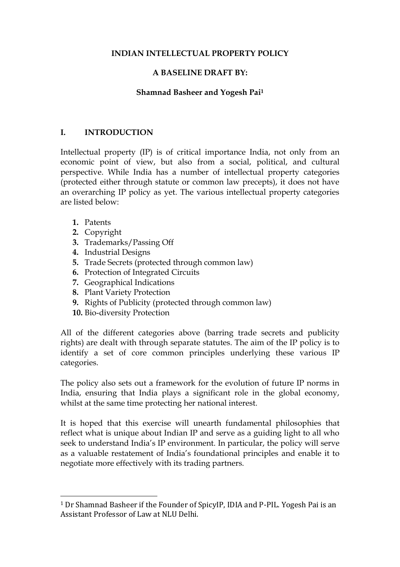#### **INDIAN INTELLECTUAL PROPERTY POLICY**

#### **A BASELINE DRAFT BY:**

#### **Shamnad Basheer and Yogesh Pai<sup>1</sup>**

#### **I. INTRODUCTION**

Intellectual property (IP) is of critical importance India, not only from an economic point of view, but also from a social, political, and cultural perspective. While India has a number of intellectual property categories (protected either through statute or common law precepts), it does not have an overarching IP policy as yet. The various intellectual property categories are listed below:

**1.** Patents

 $\overline{a}$ 

- **2.** Copyright
- **3.** Trademarks/Passing Off
- **4.** Industrial Designs
- **5.** Trade Secrets (protected through common law)
- **6.** Protection of Integrated Circuits
- **7.** Geographical Indications
- **8.** Plant Variety Protection
- **9.** Rights of Publicity (protected through common law)
- **10.** Bio-diversity Protection

All of the different categories above (barring trade secrets and publicity rights) are dealt with through separate statutes. The aim of the IP policy is to identify a set of core common principles underlying these various IP categories.

The policy also sets out a framework for the evolution of future IP norms in India, ensuring that India plays a significant role in the global economy, whilst at the same time protecting her national interest.

It is hoped that this exercise will unearth fundamental philosophies that reflect what is unique about Indian IP and serve as a guiding light to all who seek to understand India's IP environment. In particular, the policy will serve as a valuable restatement of India's foundational principles and enable it to negotiate more effectively with its trading partners.

<sup>1</sup> Dr Shamnad Basheer if the Founder of SpicyIP, IDIA and P-PIL. Yogesh Pai is an Assistant Professor of Law at NLU Delhi.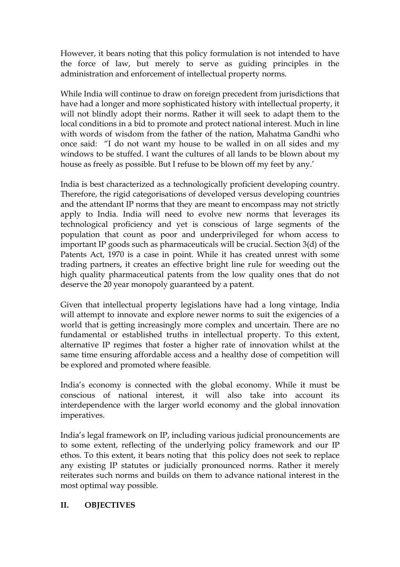However, it bears noting that this policy formulation is not intended to have the force of law, but merely to serve as guiding principles in the administration and enforcement of intellectual property norms.

While India will continue to draw on foreign precedent from jurisdictions that have had a longer and more sophisticated history with intellectual property, it will not blindly adopt their norms. Rather it will seek to adapt them to the local conditions in a bid to promote and protect national interest. Much in line with words of wisdom from the father of the nation, Mahatma Gandhi who once said: "I do not want my house to be walled in on all sides and my windows to be stuffed. I want the cultures of all lands to be blown about my house as freely as possible. But I refuse to be blown off my feet by any.'

India is best characterized as a technologically proficient developing country. Therefore, the rigid categorisations of developed versus developing countries and the attendant IP norms that they are meant to encompass may not strictly apply to India. India will need to evolve new norms that leverages its technological proficiency and yet is conscious of large segments of the population that count as poor and underprivileged for whom access to important IP goods such as pharmaceuticals will be crucial. Section 3(d) of the Patents Act, 1970 is a case in point. While it has created unrest with some trading partners, it creates an effective bright line rule for weeding out the high quality pharmaceutical patents from the low quality ones that do not deserve the 20 year monopoly guaranteed by a patent.

Given that intellectual property legislations have had a long vintage, India will attempt to innovate and explore newer norms to suit the exigencies of a world that is getting increasingly more complex and uncertain. There are no fundamental or established truths in intellectual property. To this extent, alternative IP regimes that foster a higher rate of innovation whilst at the same time ensuring affordable access and a healthy dose of competition will be explored and promoted where feasible.

India's economy is connected with the global economy. While it must be conscious of national interest, it will also take into account its interdependence with the larger world economy and the global innovation imperatives.

India's legal framework on IP, including various judicial pronouncements are to some extent, reflecting of the underlying policy framework and our IP ethos. To this extent, it bears noting that this policy does not seek to replace any existing IP statutes or judicially pronounced norms. Rather it merely reiterates such norms and builds on them to advance national interest in the most optimal way possible.

#### **II. OBJECTIVES**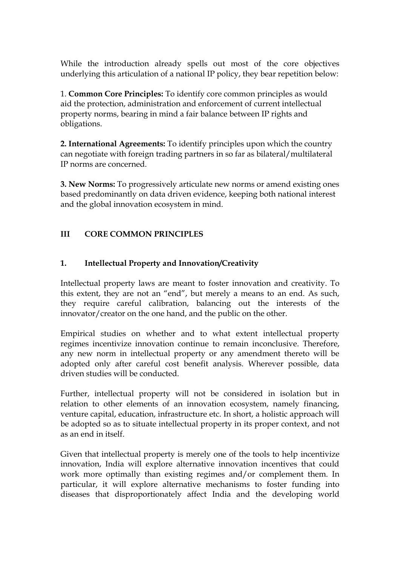While the introduction already spells out most of the core objectives underlying this articulation of a national IP policy, they bear repetition below:

1. **Common Core Principles:** To identify core common principles as would aid the protection, administration and enforcement of current intellectual property norms, bearing in mind a fair balance between IP rights and obligations.

**2. International Agreements:** To identify principles upon which the country can negotiate with foreign trading partners in so far as bilateral/multilateral IP norms are concerned.

**3. New Norms:** To progressively articulate new norms or amend existing ones based predominantly on data driven evidence, keeping both national interest and the global innovation ecosystem in mind.

### **III CORE COMMON PRINCIPLES**

#### **1. Intellectual Property and Innovation/Creativity**

Intellectual property laws are meant to foster innovation and creativity. To this extent, they are not an "end", but merely a means to an end. As such, they require careful calibration, balancing out the interests of the innovator/creator on the one hand, and the public on the other.

Empirical studies on whether and to what extent intellectual property regimes incentivize innovation continue to remain inconclusive. Therefore, any new norm in intellectual property or any amendment thereto will be adopted only after careful cost benefit analysis. Wherever possible, data driven studies will be conducted.

Further, intellectual property will not be considered in isolation but in relation to other elements of an innovation ecosystem, namely financing, venture capital, education, infrastructure etc. In short, a holistic approach will be adopted so as to situate intellectual property in its proper context, and not as an end in itself.

Given that intellectual property is merely one of the tools to help incentivize innovation, India will explore alternative innovation incentives that could work more optimally than existing regimes and/or complement them. In particular, it will explore alternative mechanisms to foster funding into diseases that disproportionately affect India and the developing world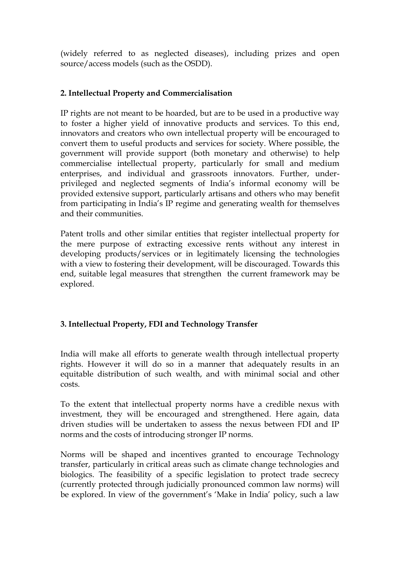(widely referred to as neglected diseases), including prizes and open source/access models (such as the OSDD).

### **2. Intellectual Property and Commercialisation**

IP rights are not meant to be hoarded, but are to be used in a productive way to foster a higher yield of innovative products and services. To this end, innovators and creators who own intellectual property will be encouraged to convert them to useful products and services for society. Where possible, the government will provide support (both monetary and otherwise) to help commercialise intellectual property, particularly for small and medium enterprises, and individual and grassroots innovators. Further, underprivileged and neglected segments of India's informal economy will be provided extensive support, particularly artisans and others who may benefit from participating in India's IP regime and generating wealth for themselves and their communities.

Patent trolls and other similar entities that register intellectual property for the mere purpose of extracting excessive rents without any interest in developing products/services or in legitimately licensing the technologies with a view to fostering their development, will be discouraged. Towards this end, suitable legal measures that strengthen the current framework may be explored.

# **3. Intellectual Property, FDI and Technology Transfer**

India will make all efforts to generate wealth through intellectual property rights. However it will do so in a manner that adequately results in an equitable distribution of such wealth, and with minimal social and other costs.

To the extent that intellectual property norms have a credible nexus with investment, they will be encouraged and strengthened. Here again, data driven studies will be undertaken to assess the nexus between FDI and IP norms and the costs of introducing stronger IP norms.

Norms will be shaped and incentives granted to encourage Technology transfer, particularly in critical areas such as climate change technologies and biologics. The feasibility of a specific legislation to protect trade secrecy (currently protected through judicially pronounced common law norms) will be explored. In view of the government's 'Make in India' policy, such a law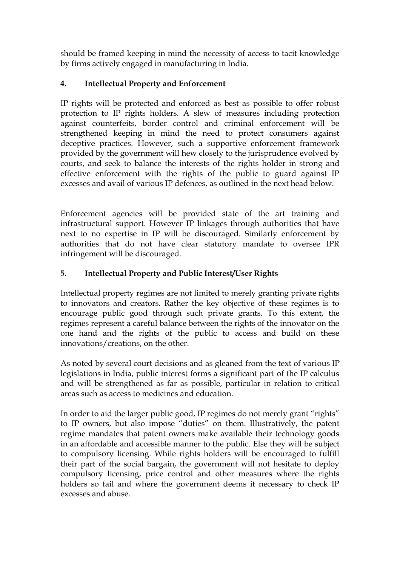should be framed keeping in mind the necessity of access to tacit knowledge by firms actively engaged in manufacturing in India.

# **4. Intellectual Property and Enforcement**

IP rights will be protected and enforced as best as possible to offer robust protection to IP rights holders. A slew of measures including protection against counterfeits, border control and criminal enforcement will be strengthened keeping in mind the need to protect consumers against deceptive practices. However, such a supportive enforcement framework provided by the government will hew closely to the jurisprudence evolved by courts, and seek to balance the interests of the rights holder in strong and effective enforcement with the rights of the public to guard against IP excesses and avail of various IP defences, as outlined in the next head below.

Enforcement agencies will be provided state of the art training and infrastructural support. However IP linkages through authorities that have next to no expertise in IP will be discouraged. Similarly enforcement by authorities that do not have clear statutory mandate to oversee IPR infringement will be discouraged.

# **5. Intellectual Property and Public Interest/User Rights**

Intellectual property regimes are not limited to merely granting private rights to innovators and creators. Rather the key objective of these regimes is to encourage public good through such private grants. To this extent, the regimes represent a careful balance between the rights of the innovator on the one hand and the rights of the public to access and build on these innovations/creations, on the other.

As noted by several court decisions and as gleaned from the text of various IP legislations in India, public interest forms a significant part of the IP calculus and will be strengthened as far as possible, particular in relation to critical areas such as access to medicines and education.

In order to aid the larger public good, IP regimes do not merely grant "rights" to IP owners, but also impose "duties" on them. Illustratively, the patent regime mandates that patent owners make available their technology goods in an affordable and accessible manner to the public. Else they will be subject to compulsory licensing. While rights holders will be encouraged to fulfill their part of the social bargain, the government will not hesitate to deploy compulsory licensing, price control and other measures where the rights holders so fail and where the government deems it necessary to check IP excesses and abuse.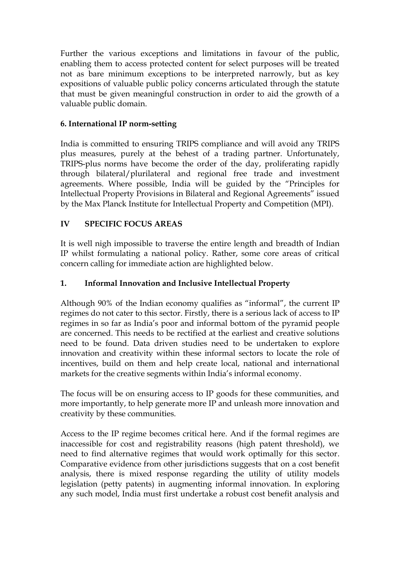Further the various exceptions and limitations in favour of the public, enabling them to access protected content for select purposes will be treated not as bare minimum exceptions to be interpreted narrowly, but as key expositions of valuable public policy concerns articulated through the statute that must be given meaningful construction in order to aid the growth of a valuable public domain.

### **6. International IP norm-setting**

India is committed to ensuring TRIPS compliance and will avoid any TRIPS plus measures, purely at the behest of a trading partner. Unfortunately, TRIPS-plus norms have become the order of the day, proliferating rapidly through bilateral/plurilateral and regional free trade and investment agreements. Where possible, India will be guided by the "Principles for Intellectual Property Provisions in Bilateral and Regional Agreements" issued by the Max Planck Institute for Intellectual Property and Competition (MPI).

### **IV SPECIFIC FOCUS AREAS**

It is well nigh impossible to traverse the entire length and breadth of Indian IP whilst formulating a national policy. Rather, some core areas of critical concern calling for immediate action are highlighted below.

### **1. Informal Innovation and Inclusive Intellectual Property**

Although 90% of the Indian economy qualifies as "informal", the current IP regimes do not cater to this sector. Firstly, there is a serious lack of access to IP regimes in so far as India's poor and informal bottom of the pyramid people are concerned. This needs to be rectified at the earliest and creative solutions need to be found. Data driven studies need to be undertaken to explore innovation and creativity within these informal sectors to locate the role of incentives, build on them and help create local, national and international markets for the creative segments within India's informal economy.

The focus will be on ensuring access to IP goods for these communities, and more importantly, to help generate more IP and unleash more innovation and creativity by these communities.

Access to the IP regime becomes critical here. And if the formal regimes are inaccessible for cost and registrability reasons (high patent threshold), we need to find alternative regimes that would work optimally for this sector. Comparative evidence from other jurisdictions suggests that on a cost benefit analysis, there is mixed response regarding the utility of utility models legislation (petty patents) in augmenting informal innovation. In exploring any such model, India must first undertake a robust cost benefit analysis and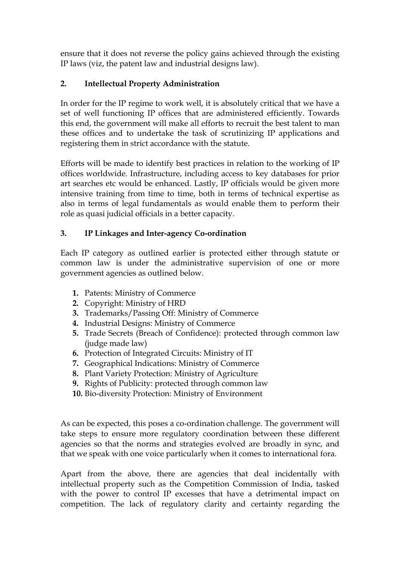ensure that it does not reverse the policy gains achieved through the existing IP laws (viz, the patent law and industrial designs law).

### **2. Intellectual Property Administration**

In order for the IP regime to work well, it is absolutely critical that we have a set of well functioning IP offices that are administered efficiently. Towards this end, the government will make all efforts to recruit the best talent to man these offices and to undertake the task of scrutinizing IP applications and registering them in strict accordance with the statute.

Efforts will be made to identify best practices in relation to the working of IP offices worldwide. Infrastructure, including access to key databases for prior art searches etc would be enhanced. Lastly, IP officials would be given more intensive training from time to time, both in terms of technical expertise as also in terms of legal fundamentals as would enable them to perform their role as quasi judicial officials in a better capacity.

#### **3. IP Linkages and Inter-agency Co-ordination**

Each IP category as outlined earlier is protected either through statute or common law is under the administrative supervision of one or more government agencies as outlined below.

- **1.** Patents: Ministry of Commerce
- **2.** Copyright: Ministry of HRD
- **3.** Trademarks/Passing Off: Ministry of Commerce
- **4.** Industrial Designs: Ministry of Commerce
- **5.** Trade Secrets (Breach of Confidence): protected through common law (judge made law)
- **6.** Protection of Integrated Circuits: Ministry of IT
- **7.** Geographical Indications: Ministry of Commerce
- **8.** Plant Variety Protection: Ministry of Agriculture
- **9.** Rights of Publicity: protected through common law
- **10.** Bio-diversity Protection: Ministry of Environment

As can be expected, this poses a co-ordination challenge. The government will take steps to ensure more regulatory coordination between these different agencies so that the norms and strategies evolved are broadly in sync, and that we speak with one voice particularly when it comes to international fora.

Apart from the above, there are agencies that deal incidentally with intellectual property such as the Competition Commission of India, tasked with the power to control IP excesses that have a detrimental impact on competition. The lack of regulatory clarity and certainty regarding the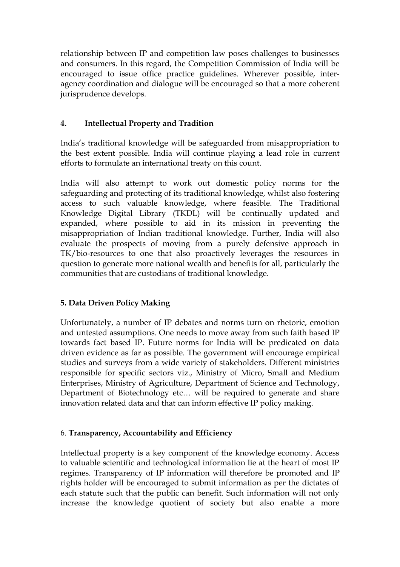relationship between IP and competition law poses challenges to businesses and consumers. In this regard, the Competition Commission of India will be encouraged to issue office practice guidelines. Wherever possible, interagency coordination and dialogue will be encouraged so that a more coherent jurisprudence develops.

### **4. Intellectual Property and Tradition**

India's traditional knowledge will be safeguarded from misappropriation to the best extent possible. India will continue playing a lead role in current efforts to formulate an international treaty on this count.

India will also attempt to work out domestic policy norms for the safeguarding and protecting of its traditional knowledge, whilst also fostering access to such valuable knowledge, where feasible. The Traditional Knowledge Digital Library (TKDL) will be continually updated and expanded, where possible to aid in its mission in preventing the misappropriation of Indian traditional knowledge. Further, India will also evaluate the prospects of moving from a purely defensive approach in TK/bio-resources to one that also proactively leverages the resources in question to generate more national wealth and benefits for all, particularly the communities that are custodians of traditional knowledge.

# **5. Data Driven Policy Making**

Unfortunately, a number of IP debates and norms turn on rhetoric, emotion and untested assumptions. One needs to move away from such faith based IP towards fact based IP. Future norms for India will be predicated on data driven evidence as far as possible. The government will encourage empirical studies and surveys from a wide variety of stakeholders. Different ministries responsible for specific sectors viz., Ministry of Micro, Small and Medium Enterprises, Ministry of Agriculture, Department of Science and Technology, Department of Biotechnology etc… will be required to generate and share innovation related data and that can inform effective IP policy making.

#### 6. **Transparency, Accountability and Efficiency**

Intellectual property is a key component of the knowledge economy. Access to valuable scientific and technological information lie at the heart of most IP regimes. Transparency of IP information will therefore be promoted and IP rights holder will be encouraged to submit information as per the dictates of each statute such that the public can benefit. Such information will not only increase the knowledge quotient of society but also enable a more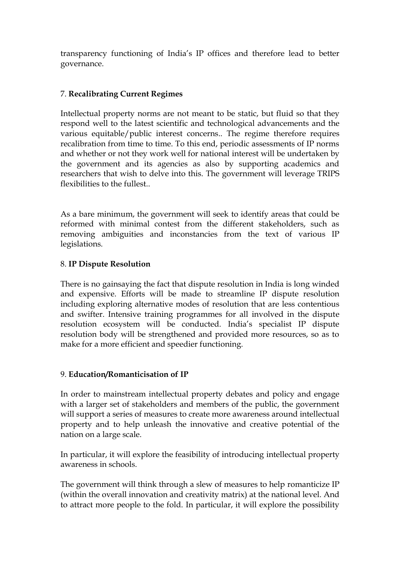transparency functioning of India's IP offices and therefore lead to better governance.

# 7. **Recalibrating Current Regimes**

Intellectual property norms are not meant to be static, but fluid so that they respond well to the latest scientific and technological advancements and the various equitable/public interest concerns.. The regime therefore requires recalibration from time to time. To this end, periodic assessments of IP norms and whether or not they work well for national interest will be undertaken by the government and its agencies as also by supporting academics and researchers that wish to delve into this. The government will leverage TRIPS flexibilities to the fullest..

As a bare minimum, the government will seek to identify areas that could be reformed with minimal contest from the different stakeholders, such as removing ambiguities and inconstancies from the text of various IP legislations.

### 8. **IP Dispute Resolution**

There is no gainsaying the fact that dispute resolution in India is long winded and expensive. Efforts will be made to streamline IP dispute resolution including exploring alternative modes of resolution that are less contentious and swifter. Intensive training programmes for all involved in the dispute resolution ecosystem will be conducted. India's specialist IP dispute resolution body will be strengthened and provided more resources, so as to make for a more efficient and speedier functioning.

#### 9. **Education/Romanticisation of IP**

In order to mainstream intellectual property debates and policy and engage with a larger set of stakeholders and members of the public, the government will support a series of measures to create more awareness around intellectual property and to help unleash the innovative and creative potential of the nation on a large scale.

In particular, it will explore the feasibility of introducing intellectual property awareness in schools.

The government will think through a slew of measures to help romanticize IP (within the overall innovation and creativity matrix) at the national level. And to attract more people to the fold. In particular, it will explore the possibility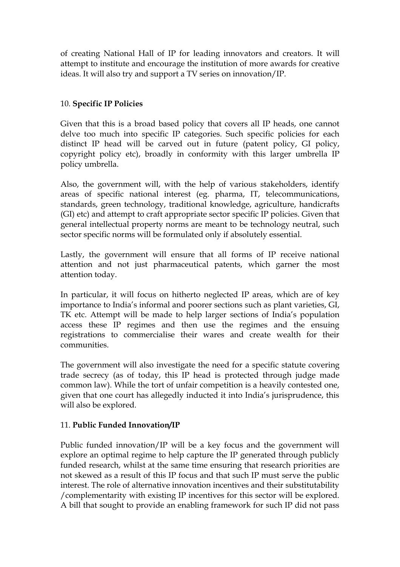of creating National Hall of IP for leading innovators and creators. It will attempt to institute and encourage the institution of more awards for creative ideas. It will also try and support a TV series on innovation/IP.

#### 10. **Specific IP Policies**

Given that this is a broad based policy that covers all IP heads, one cannot delve too much into specific IP categories. Such specific policies for each distinct IP head will be carved out in future (patent policy, GI policy, copyright policy etc), broadly in conformity with this larger umbrella IP policy umbrella.

Also, the government will, with the help of various stakeholders, identify areas of specific national interest (eg. pharma, IT, telecommunications, standards, green technology, traditional knowledge, agriculture, handicrafts (GI) etc) and attempt to craft appropriate sector specific IP policies. Given that general intellectual property norms are meant to be technology neutral, such sector specific norms will be formulated only if absolutely essential.

Lastly, the government will ensure that all forms of IP receive national attention and not just pharmaceutical patents, which garner the most attention today.

In particular, it will focus on hitherto neglected IP areas, which are of key importance to India's informal and poorer sections such as plant varieties, GI, TK etc. Attempt will be made to help larger sections of India's population access these IP regimes and then use the regimes and the ensuing registrations to commercialise their wares and create wealth for their communities.

The government will also investigate the need for a specific statute covering trade secrecy (as of today, this IP head is protected through judge made common law). While the tort of unfair competition is a heavily contested one, given that one court has allegedly inducted it into India's jurisprudence, this will also be explored.

#### 11. **Public Funded Innovation/IP**

Public funded innovation/IP will be a key focus and the government will explore an optimal regime to help capture the IP generated through publicly funded research, whilst at the same time ensuring that research priorities are not skewed as a result of this IP focus and that such IP must serve the public interest. The role of alternative innovation incentives and their substitutability /complementarity with existing IP incentives for this sector will be explored. A bill that sought to provide an enabling framework for such IP did not pass